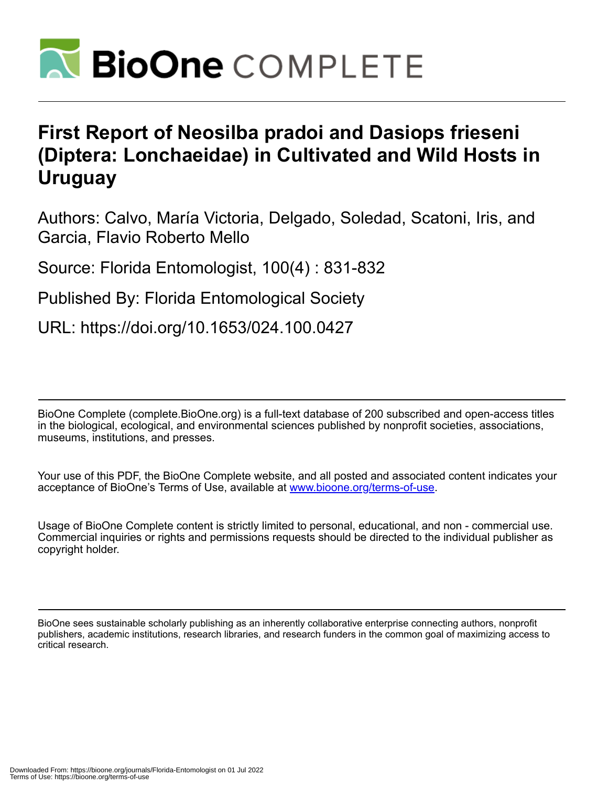

## **First Report of Neosilba pradoi and Dasiops frieseni (Diptera: Lonchaeidae) in Cultivated and Wild Hosts in Uruguay**

Authors: Calvo, María Victoria, Delgado, Soledad, Scatoni, Iris, and Garcia, Flavio Roberto Mello

Source: Florida Entomologist, 100(4) : 831-832

Published By: Florida Entomological Society

URL: https://doi.org/10.1653/024.100.0427

BioOne Complete (complete.BioOne.org) is a full-text database of 200 subscribed and open-access titles in the biological, ecological, and environmental sciences published by nonprofit societies, associations, museums, institutions, and presses.

Your use of this PDF, the BioOne Complete website, and all posted and associated content indicates your acceptance of BioOne's Terms of Use, available at www.bioone.org/terms-of-use.

Usage of BioOne Complete content is strictly limited to personal, educational, and non - commercial use. Commercial inquiries or rights and permissions requests should be directed to the individual publisher as copyright holder.

BioOne sees sustainable scholarly publishing as an inherently collaborative enterprise connecting authors, nonprofit publishers, academic institutions, research libraries, and research funders in the common goal of maximizing access to critical research.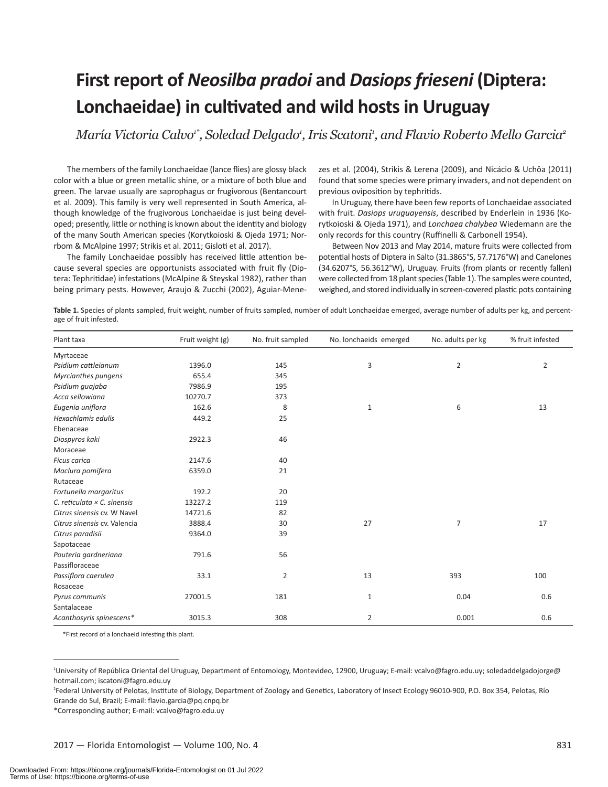# **First report of** *Neosilba pradoi* **and** *Dasiops frieseni* **(Diptera: Lonchaeidae) in cultivated and wild hosts in Uruguay**

María Victoria Calvo<sup>1\*</sup>, Soledad Delgado<sup>,</sup>, Iris Scatoni<sup>,</sup>, and Flavio Roberto Mello Garcia<del>°</del>

The members of the family Lonchaeidae (lance flies) are glossy black color with a blue or green metallic shine, or a mixture of both blue and green. The larvae usually are saprophagus or frugivorous (Bentancourt et al. 2009). This family is very well represented in South America, although knowledge of the frugivorous Lonchaeidae is just being developed; presently, little or nothing is known about the identity and biology of the many South American species (Korytkoioski & Ojeda 1971; Norrbom & McAlpine 1997; Strikis et al. 2011; Gisloti et al. 2017).

The family Lonchaeidae possibly has received little attention because several species are opportunists associated with fruit fly (Diptera: Tephritidae) infestations (McAlpine & Steyskal 1982), rather than being primary pests. However, Araujo & Zucchi (2002), Aguiar-Menezes et al. (2004), Strikis & Lerena (2009), and Nicácio & Uchôa (2011) found that some species were primary invaders, and not dependent on previous oviposition by tephritids.

In Uruguay, there have been few reports of Lonchaeidae associated with fruit. *Dasiops uruguayensis*, described by Enderlein in 1936 (Korytkoioski & Ojeda 1971), and *Lonchaea chalybea* Wiedemann are the only records for this country (Ruffinelli & Carbonell 1954).

Between Nov 2013 and May 2014, mature fruits were collected from potential hosts of Diptera in Salto (31.3865°S, 57.7176°W) and Canelones (34.6207°S, 56.3612°W), Uruguay. Fruits (from plants or recently fallen) were collected from 18 plant species (Table 1). The samples were counted, weighed, and stored individually in screen-covered plastic pots containing

**Table 1.** Species of plants sampled, fruit weight, number of fruits sampled, number of adult Lonchaeidae emerged, average number of adults per kg, and percentage of fruit infested.

| Plant taxa                         | Fruit weight (g) | No. fruit sampled | No. lonchaeids emerged | No. adults per kg | % fruit infested |
|------------------------------------|------------------|-------------------|------------------------|-------------------|------------------|
| Myrtaceae                          |                  |                   |                        |                   |                  |
| Psidium cattleianum                | 1396.0           | 145               | 3                      | $\overline{2}$    | $\overline{2}$   |
| Myrcianthes pungens                | 655.4            | 345               |                        |                   |                  |
| Psidium quajaba                    | 7986.9           | 195               |                        |                   |                  |
| Acca sellowiana                    | 10270.7          | 373               |                        |                   |                  |
| Eugenia uniflora                   | 162.6            | 8                 | $\mathbf{1}$           | 6                 | 13               |
| Hexachlamis edulis                 | 449.2            | 25                |                        |                   |                  |
| Ebenaceae                          |                  |                   |                        |                   |                  |
| Diospyros kaki                     | 2922.3           | 46                |                        |                   |                  |
| Moraceae                           |                  |                   |                        |                   |                  |
| <b>Ficus carica</b>                | 2147.6           | 40                |                        |                   |                  |
| Maclura pomifera                   | 6359.0           | 21                |                        |                   |                  |
| Rutaceae                           |                  |                   |                        |                   |                  |
| Fortunella margaritus              | 192.2            | 20                |                        |                   |                  |
| C. reticulata $\times$ C. sinensis | 13227.2          | 119               |                        |                   |                  |
| Citrus sinensis cv. W Navel        | 14721.6          | 82                |                        |                   |                  |
| Citrus sinensis cv. Valencia       | 3888.4           | 30                | 27                     | $\overline{7}$    | 17               |
| Citrus paradisii                   | 9364.0           | 39                |                        |                   |                  |
| Sapotaceae                         |                  |                   |                        |                   |                  |
| Pouteria gardneriana               | 791.6            | 56                |                        |                   |                  |
| Passifloraceae                     |                  |                   |                        |                   |                  |
| Passiflora caerulea                | 33.1             | 2                 | 13                     | 393               | 100              |
| Rosaceae                           |                  |                   |                        |                   |                  |
| Pyrus communis                     | 27001.5          | 181               | $\mathbf 1$            | 0.04              | 0.6              |
| Santalaceae                        |                  |                   |                        |                   |                  |
| Acanthosyris spinescens*           | 3015.3           | 308               | $\overline{2}$         | 0.001             | 0.6              |

\*First record of a lonchaeid infesting this plant.

\*Corresponding author; E-mail: vcalvo@fagro.edu.uy

<sup>1</sup> University of República Oriental del Uruguay, Department of Entomology, Montevideo, 12900, Uruguay; E-mail: vcalvo@fagro.edu.uy; soledaddelgadojorge@ hotmail.com; iscatoni@fagro.edu.uy

<sup>2</sup> Federal University of Pelotas, Institute of Biology, Department of Zoology and Genetics, Laboratory of Insect Ecology 96010-900, P.O. Box 354, Pelotas, Río Grande do Sul, Brazil; E-mail: flavio.garcia@pq.cnpq.br